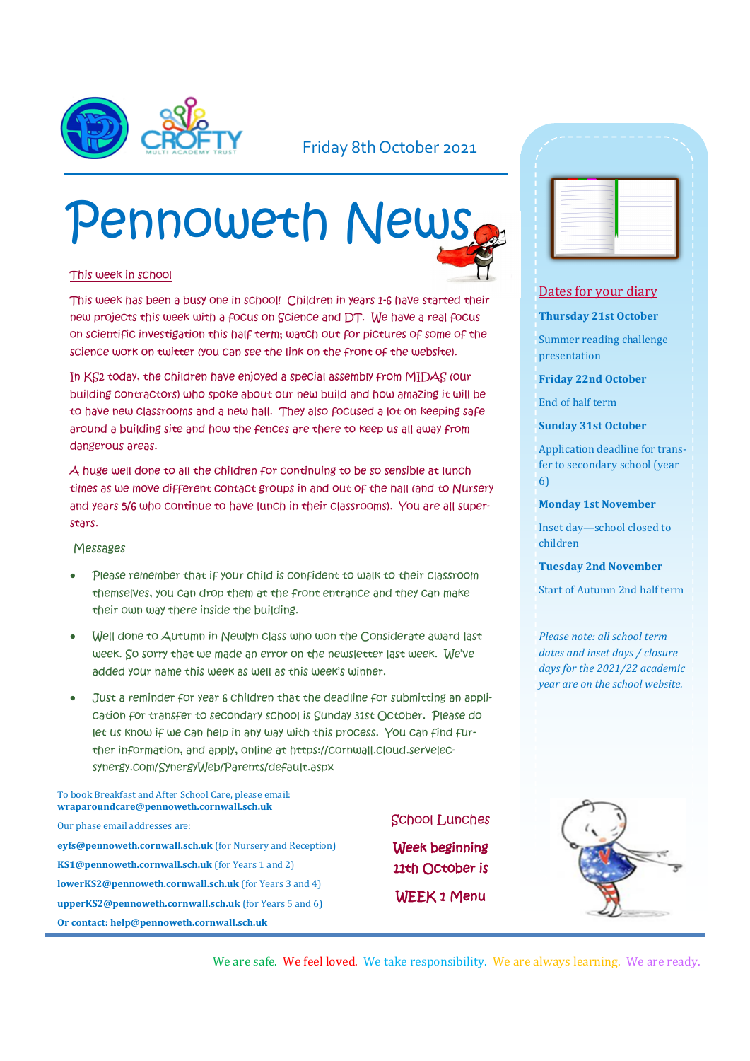

#### Friday 8th October 2021

# Pennoweth News

#### This week in school

This week has been a busy one in school! Children in years 1-6 have started their new projects this week with a focus on Science and DT. We have a real focus on scientific investigation this half term; watch out for pictures of some of the science work on twitter (you can see the link on the front of the website).

In KS2 today, the children have enjoyed a special assembly from MIDAS (our building contractors) who spoke about our new build and how amazing it will be to have new classrooms and a new hall. They also focused a lot on keeping safe around a building site and how the fences are there to keep us all away from dangerous areas.

A huge well done to all the children for continuing to be so sensible at lunch times as we move different contact groups in and out of the hall (and to Nursery and years 5/6 who continue to have lunch in their classrooms). You are all superstars.

#### Messages

- Please remember that if your child is confident to walk to their classroom themselves, you can drop them at the front entrance and they can make their own way there inside the building.
- Well done to Autumn in Newlyn class who won the Considerate award last week. So sorry that we made an error on the newsletter last week. We've added your name this week as well as this week's winner.
- Just a reminder for year 6 children that the deadline for submitting an application for transfer to secondary school is Sunday 31st October. Please do let us know if we can help in any way with this process. You can find further information, and apply, online at https://cornwall.cloud.servelecsynergy.com/SynergyWeb/Parents/default.aspx

#### To book Breakfast and After School Care, please email: **wraparoundcare@pennoweth.cornwall.sch.uk**

Our phase email addresses are: **eyfs@pennoweth.cornwall.sch.uk** (for Nursery and Reception) **KS1@pennoweth.cornwall.sch.uk** (for Years 1 and 2) **lowerKS2@pennoweth.cornwall.sch.uk** (for Years 3 and 4) **upperKS2@pennoweth.cornwall.sch.uk** (for Years 5 and 6) **Or contact: help@pennoweth.cornwall.sch.uk**

#### School Lunches

Week beginning 11th October is WEEK 1 Menu

|              |        | - | -  |
|--------------|--------|---|----|
|              |        |   |    |
|              |        |   |    |
|              |        |   |    |
|              |        |   |    |
|              | -      |   |    |
|              | ÷      |   | -  |
|              |        |   |    |
| <b>STATE</b> | -<br>- |   | ÷  |
| ٠            | ÷      |   | ÷  |
| ٠            | -      |   |    |
|              | -      | - |    |
|              | -      |   |    |
|              | -      |   | a. |
|              |        |   |    |

#### Dates for your diary

#### **Thursday 21st October**

Summer reading challenge presentation

**Friday 22nd October**

End of half term

#### **Sunday 31st October**

Application deadline for transfer to secondary school (year 6)

**Monday 1st November**

Inset day—school closed to children

#### **Tuesday 2nd November**

Start of Autumn 2nd half term

*Please note: all school term dates and inset days / closure days for the 2021/22 academic year are on the school website.* 



We are safe. We feel loved. We take responsibility. We are always learning. We are ready.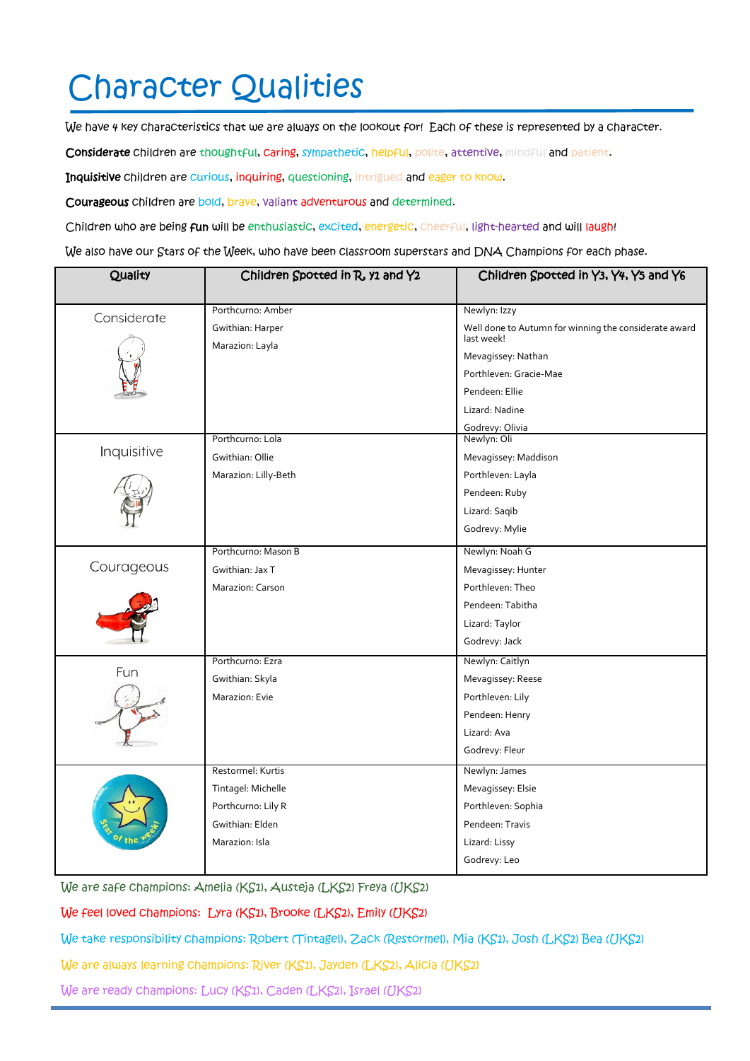## Character Qualities

We have 4 key characteristics that we are always on the lookout for! Each of these is represented by a character.

Considerate children are thoughtful, caring, sympathetic, helpful, polite, attentive, mindful and patient.

Inquisitive children are curious, inquiring, questioning, intrigued and eager to know.

Courageous children are bold, brave, valiant adventurous and determined.

Children who are being fun will be enthusiastic, excited, energetic, cheerful, light-hearted and will laugh!

We also have our Stars of the Week, who have been classroom superstars and DNA Champions for each phase.

| Quality     | Children Spotted in R, y1 and Y2    | Children Spotted in Y3, Y4, Y5 and Y6                               |  |
|-------------|-------------------------------------|---------------------------------------------------------------------|--|
|             | Porthcurno: Amber                   | Newlyn: Izzy                                                        |  |
| Considerate |                                     |                                                                     |  |
|             | Gwithian: Harper<br>Marazion: Layla | Well done to Autumn for winning the considerate award<br>last week! |  |
|             |                                     | Mevagissey: Nathan                                                  |  |
|             |                                     | Porthleven: Gracie-Mae                                              |  |
|             |                                     | Pendeen: Ellie                                                      |  |
|             |                                     | Lizard: Nadine                                                      |  |
|             |                                     | Godrevy: Olivia                                                     |  |
| Inquisitive | Porthcurno: Lola                    | Newlyn: Oli                                                         |  |
|             | Gwithian: Ollie                     | Mevagissey: Maddison                                                |  |
|             | Marazion: Lilly-Beth                | Porthleven: Layla                                                   |  |
|             |                                     | Pendeen: Ruby                                                       |  |
|             |                                     | Lizard: Saqib                                                       |  |
|             |                                     | Godrevy: Mylie                                                      |  |
|             | Porthcurno: Mason B                 | Newlyn: Noah G                                                      |  |
| Courageous  | Gwithian: Jax T                     | Mevagissey: Hunter                                                  |  |
|             | Marazion: Carson                    | Porthleven: Theo                                                    |  |
|             |                                     | Pendeen: Tabitha                                                    |  |
|             |                                     | Lizard: Taylor                                                      |  |
|             |                                     | Godrevy: Jack                                                       |  |
| Fun         | Porthcurno: Ezra                    | Newlyn: Caitlyn                                                     |  |
|             | Gwithian: Skyla                     | Mevagissey: Reese                                                   |  |
|             | Marazion: Evie                      | Porthleven: Lily                                                    |  |
|             |                                     | Pendeen: Henry                                                      |  |
|             |                                     | Lizard: Ava                                                         |  |
|             |                                     | Godrevy: Fleur                                                      |  |
|             | Restormel: Kurtis                   | Newlyn: James                                                       |  |
|             | Tintagel: Michelle                  | Mevagissey: Elsie                                                   |  |
|             | Porthcurno: Lily R                  | Porthleven: Sophia                                                  |  |
|             | Gwithian: Elden                     | Pendeen: Travis                                                     |  |
|             | Marazion: Isla                      | Lizard: Lissy                                                       |  |
|             |                                     | Godrevy: Leo                                                        |  |
|             |                                     |                                                                     |  |

We are safe champions: Amelia (KS1), Austeja (LKS2) Freya (UKS2)

We feel loved champions: Lyra (KS1), Brooke (LKS2), Emily (UKS2)

We take responsibility champions: Robert (Tintagel), Zack (Restormel), Mia (KS1), Josh (LKS2) Bea (UKS2)

We are always learning champions: River (KS1), Jayden (LKS2), Alicia (UKS2)

We are ready champions: Lucy (KS1), Caden (LKS2), Israel (UKS2)